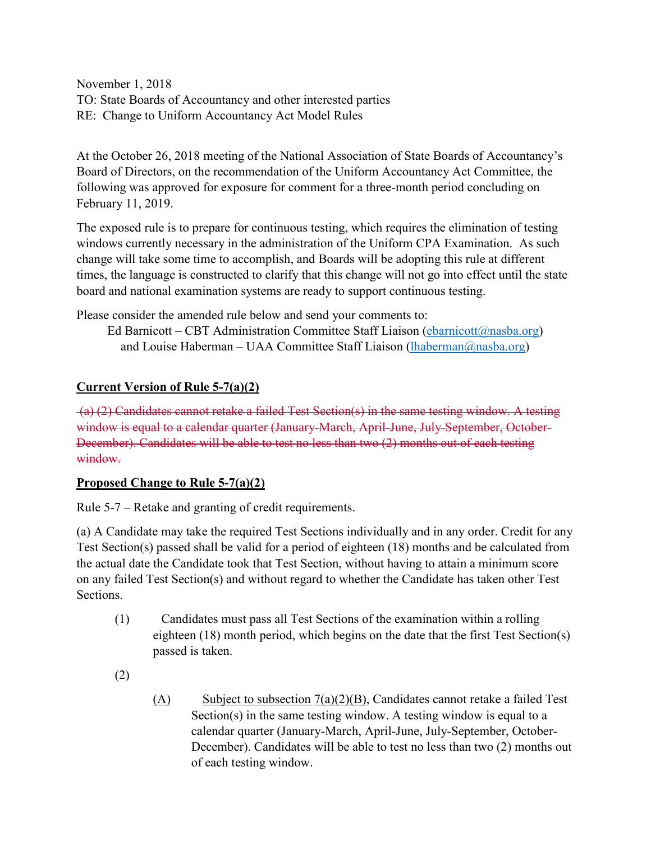November 1, 2018 TO: State Boards of Accountancy and other interested parties RE: Change to Uniform Accountancy Act Model Rules

At the October 26, 2018 meeting of the National Association of State Boards of Accountancy's Board of Directors, on the recommendation of the Uniform Accountancy Act Committee, the following was approved for exposure for comment for a three-month period concluding on February 11, 2019.

The exposed rule is to prepare for continuous testing, which requires the elimination of testing windows currently necessary in the administration of the Uniform CPA Examination. As such change will take some time to accomplish, and Boards will be adopting this rule at different times, the language is constructed to clarify that this change will not go into effect until the state board and national examination systems are ready to support continuous testing.

Please consider the amended rule below and send your comments to:

Ed Barnicott – CBT Administration Committee Staff Liaison [\(ebarnicott@nasba.org\)](mailto:ebarnicott@nasba.org) and Louise Haberman – UAA Committee Staff Liaison [\(lhaberman@nasba.org\)](mailto:lhaberman@nasba.org)

## **Current Version of Rule 5-7(a)(2)**

(a) (2) Candidates cannot retake a failed Test Section(s) in the same testing window. A testing window is equal to a calendar quarter (January-March, April-June, July-September, October-December). Candidates will be able to test no less than two (2) months out of each testing window.

## **Proposed Change to Rule 5-7(a)(2)**

Rule 5-7 – Retake and granting of credit requirements.

(a) A Candidate may take the required Test Sections individually and in any order. Credit for any Test Section(s) passed shall be valid for a period of eighteen (18) months and be calculated from the actual date the Candidate took that Test Section, without having to attain a minimum score on any failed Test Section(s) and without regard to whether the Candidate has taken other Test **Sections** 

- (1) Candidates must pass all Test Sections of the examination within a rolling eighteen (18) month period, which begins on the date that the first Test Section(s) passed is taken.
- (2)
- (A) Subject to subsection  $7(a)(2)(B)$ , Candidates cannot retake a failed Test Section(s) in the same testing window. A testing window is equal to a calendar quarter (January-March, April-June, July-September, October-December). Candidates will be able to test no less than two (2) months out of each testing window.